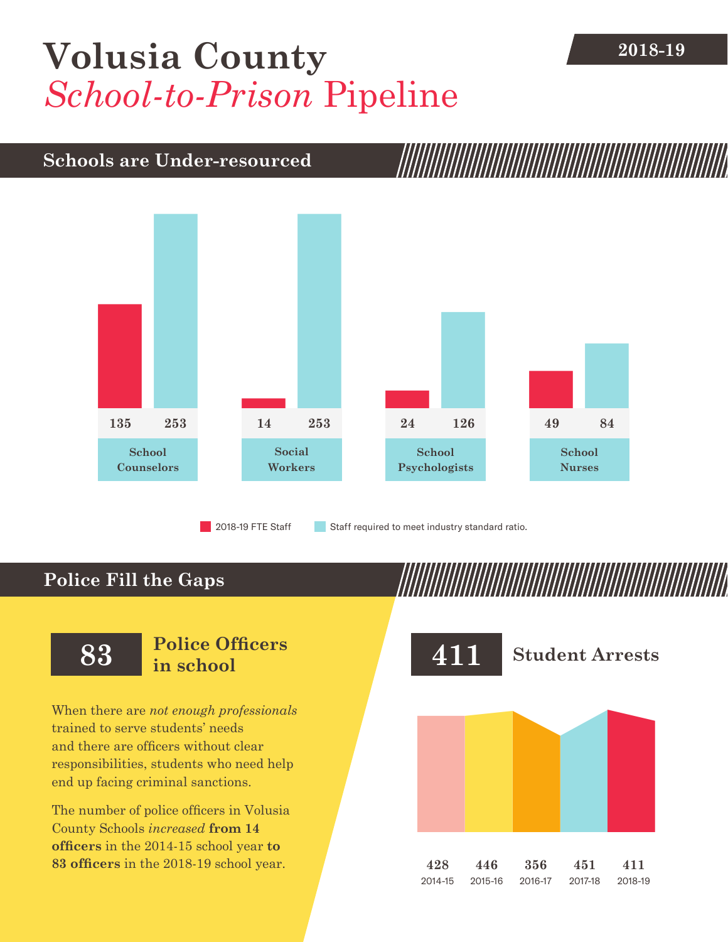# [Volusia County](DBF_County) 2018-19 *School-to-Prison* Pipeline

### **Schools are Under-resourced**



## **Police Fill the Gaps**

When there are *not enough professionals* trained to serve students' needs and there are officers without clear responsibilities, students who need help end up facing criminal sanctions.

The number of police officers in [Volusia](DBF_County)  [County](DBF_County) Schools *increased* **from [14](DBF_PO1415)  officers** in the 2014-15 school year **to [83](DBF_PO) officers** in the 2018-19 school year.